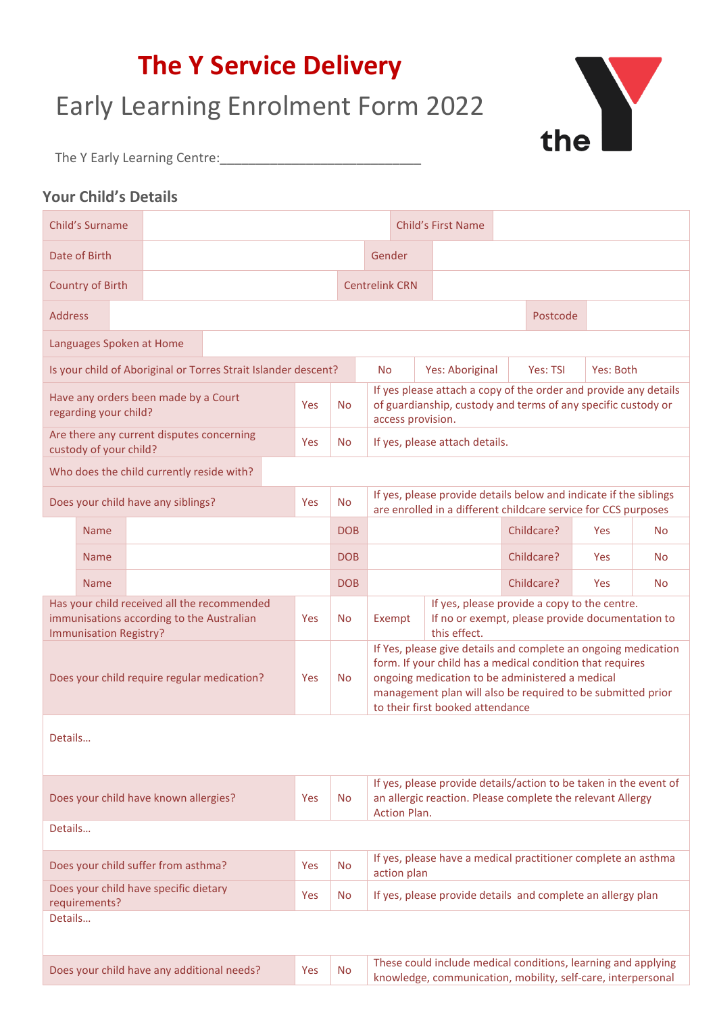# **The Y Service Delivery**

# Early Learning Enrolment Form 2022



The Y Early Learning Centre:\_\_\_\_\_\_\_\_\_\_\_\_\_\_\_\_\_\_\_\_\_\_\_\_\_\_\_\_

## **Your Child's Details**

|                                                                     | Child's Surname         |  |                                           |                                                                |           |            |                                                                                                                                                        |                                                                                                                                                                                                                                                                                   |                                                       |  | <b>Child's First Name</b> |                                                             |                                                                                                                                     |                                                               |           |           |           |
|---------------------------------------------------------------------|-------------------------|--|-------------------------------------------|----------------------------------------------------------------|-----------|------------|--------------------------------------------------------------------------------------------------------------------------------------------------------|-----------------------------------------------------------------------------------------------------------------------------------------------------------------------------------------------------------------------------------------------------------------------------------|-------------------------------------------------------|--|---------------------------|-------------------------------------------------------------|-------------------------------------------------------------------------------------------------------------------------------------|---------------------------------------------------------------|-----------|-----------|-----------|
|                                                                     | Date of Birth           |  |                                           |                                                                |           |            |                                                                                                                                                        | Gender                                                                                                                                                                                                                                                                            |                                                       |  |                           |                                                             |                                                                                                                                     |                                                               |           |           |           |
|                                                                     | <b>Country of Birth</b> |  |                                           |                                                                |           |            |                                                                                                                                                        |                                                                                                                                                                                                                                                                                   | <b>Centrelink CRN</b>                                 |  |                           |                                                             |                                                                                                                                     |                                                               |           |           |           |
| <b>Address</b>                                                      |                         |  |                                           |                                                                |           |            |                                                                                                                                                        |                                                                                                                                                                                                                                                                                   |                                                       |  |                           |                                                             |                                                                                                                                     | Postcode                                                      |           |           |           |
|                                                                     |                         |  | Languages Spoken at Home                  |                                                                |           |            |                                                                                                                                                        |                                                                                                                                                                                                                                                                                   |                                                       |  |                           |                                                             |                                                                                                                                     |                                                               |           |           |           |
|                                                                     |                         |  |                                           | Is your child of Aboriginal or Torres Strait Islander descent? |           |            |                                                                                                                                                        |                                                                                                                                                                                                                                                                                   | Yes: Aboriginal<br>Yes: TSI<br>Yes: Both<br><b>No</b> |  |                           |                                                             |                                                                                                                                     |                                                               |           |           |           |
| Have any orders been made by a Court<br>regarding your child?       |                         |  |                                           | Yes                                                            | <b>No</b> |            | If yes please attach a copy of the order and provide any details<br>of guardianship, custody and terms of any specific custody or<br>access provision. |                                                                                                                                                                                                                                                                                   |                                                       |  |                           |                                                             |                                                                                                                                     |                                                               |           |           |           |
| Are there any current disputes concerning<br>custody of your child? |                         |  |                                           | Yes                                                            | <b>No</b> |            |                                                                                                                                                        |                                                                                                                                                                                                                                                                                   | If yes, please attach details.                        |  |                           |                                                             |                                                                                                                                     |                                                               |           |           |           |
| Who does the child currently reside with?                           |                         |  |                                           |                                                                |           |            |                                                                                                                                                        |                                                                                                                                                                                                                                                                                   |                                                       |  |                           |                                                             |                                                                                                                                     |                                                               |           |           |           |
| Does your child have any siblings?<br>Yes                           |                         |  |                                           |                                                                |           | <b>No</b>  |                                                                                                                                                        |                                                                                                                                                                                                                                                                                   |                                                       |  |                           |                                                             | If yes, please provide details below and indicate if the siblings<br>are enrolled in a different childcare service for CCS purposes |                                                               |           |           |           |
|                                                                     | <b>Name</b>             |  |                                           |                                                                |           | <b>DOB</b> |                                                                                                                                                        |                                                                                                                                                                                                                                                                                   |                                                       |  |                           | Childcare?                                                  | <b>Yes</b>                                                                                                                          |                                                               | <b>No</b> |           |           |
|                                                                     | <b>Name</b>             |  |                                           |                                                                |           | <b>DOB</b> |                                                                                                                                                        |                                                                                                                                                                                                                                                                                   |                                                       |  |                           |                                                             | Childcare?                                                                                                                          | <b>Yes</b>                                                    |           | <b>No</b> |           |
|                                                                     | <b>Name</b>             |  |                                           |                                                                |           |            | <b>DOB</b>                                                                                                                                             |                                                                                                                                                                                                                                                                                   |                                                       |  |                           |                                                             |                                                                                                                                     | Childcare?                                                    | Yes       |           | <b>No</b> |
|                                                                     | Immunisation Registry?  |  | immunisations according to the Australian | Has your child received all the recommended                    |           | Yes        | <b>No</b>                                                                                                                                              | If yes, please provide a copy to the centre.<br>If no or exempt, please provide documentation to<br>Exempt<br>this effect.                                                                                                                                                        |                                                       |  |                           |                                                             |                                                                                                                                     |                                                               |           |           |           |
|                                                                     |                         |  |                                           | Does your child require regular medication?                    |           | Yes        | <b>No</b>                                                                                                                                              | If Yes, please give details and complete an ongoing medication<br>form. If your child has a medical condition that requires<br>ongoing medication to be administered a medical<br>management plan will also be required to be submitted prior<br>to their first booked attendance |                                                       |  |                           |                                                             |                                                                                                                                     |                                                               |           |           |           |
| Details                                                             |                         |  |                                           |                                                                |           |            |                                                                                                                                                        |                                                                                                                                                                                                                                                                                   |                                                       |  |                           |                                                             |                                                                                                                                     |                                                               |           |           |           |
|                                                                     |                         |  | Does your child have known allergies?     |                                                                |           | Yes        | <b>No</b>                                                                                                                                              | If yes, please provide details/action to be taken in the event of<br>an allergic reaction. Please complete the relevant Allergy<br><b>Action Plan.</b>                                                                                                                            |                                                       |  |                           |                                                             |                                                                                                                                     |                                                               |           |           |           |
| Details                                                             |                         |  |                                           |                                                                |           |            |                                                                                                                                                        |                                                                                                                                                                                                                                                                                   |                                                       |  |                           |                                                             |                                                                                                                                     |                                                               |           |           |           |
|                                                                     |                         |  | Does your child suffer from asthma?       |                                                                |           | Yes        | <b>No</b>                                                                                                                                              | If yes, please have a medical practitioner complete an asthma<br>action plan                                                                                                                                                                                                      |                                                       |  |                           |                                                             |                                                                                                                                     |                                                               |           |           |           |
| Does your child have specific dietary<br>Yes<br>requirements?       |                         |  |                                           |                                                                | <b>No</b> |            |                                                                                                                                                        |                                                                                                                                                                                                                                                                                   |                                                       |  |                           | If yes, please provide details and complete an allergy plan |                                                                                                                                     |                                                               |           |           |           |
| Details                                                             |                         |  |                                           |                                                                |           |            |                                                                                                                                                        |                                                                                                                                                                                                                                                                                   |                                                       |  |                           |                                                             |                                                                                                                                     |                                                               |           |           |           |
|                                                                     |                         |  |                                           |                                                                |           |            |                                                                                                                                                        |                                                                                                                                                                                                                                                                                   |                                                       |  |                           |                                                             |                                                                                                                                     |                                                               |           |           |           |
| Does your child have any additional needs?                          |                         |  |                                           |                                                                |           | Yes        | <b>No</b>                                                                                                                                              |                                                                                                                                                                                                                                                                                   |                                                       |  |                           |                                                             |                                                                                                                                     | These could include medical conditions, learning and applying |           |           |           |

knowledge, communication, mobility, self-care, interpersonal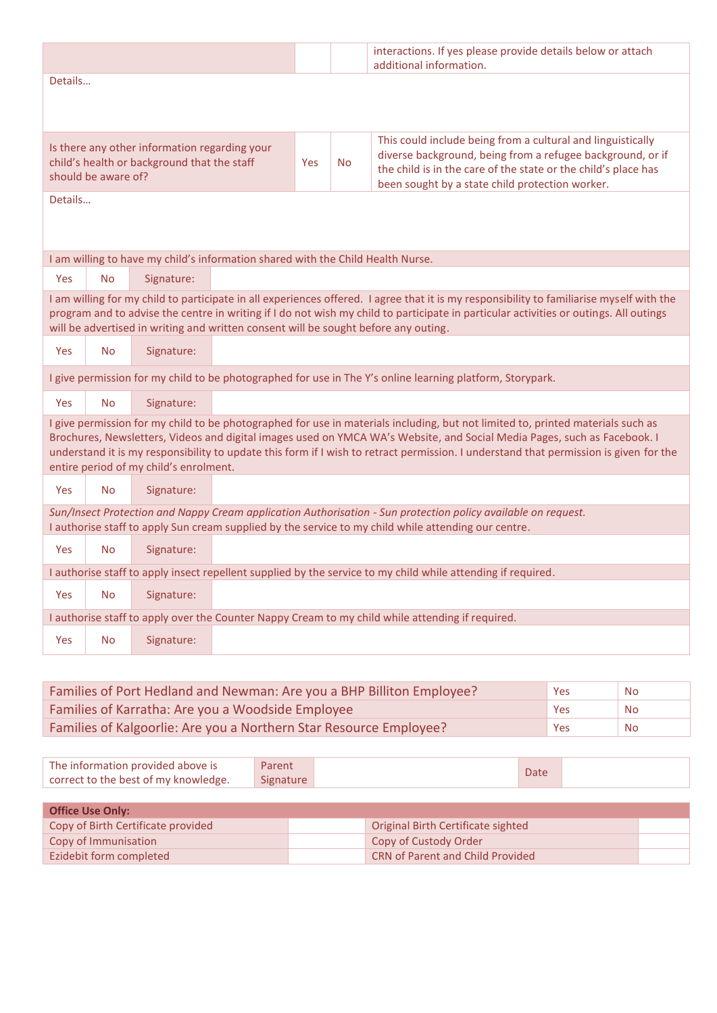|                                                                                                                                                                                                                                                                                                                                                                          |           |                                        |                                                                                 |           |                                                                                                                                                                                                                                                | interactions. If yes please provide details below or attach<br>additional information.                                                                                                                                                                                                                                                                                                               |  |  |  |  |
|--------------------------------------------------------------------------------------------------------------------------------------------------------------------------------------------------------------------------------------------------------------------------------------------------------------------------------------------------------------------------|-----------|----------------------------------------|---------------------------------------------------------------------------------|-----------|------------------------------------------------------------------------------------------------------------------------------------------------------------------------------------------------------------------------------------------------|------------------------------------------------------------------------------------------------------------------------------------------------------------------------------------------------------------------------------------------------------------------------------------------------------------------------------------------------------------------------------------------------------|--|--|--|--|
| Details                                                                                                                                                                                                                                                                                                                                                                  |           |                                        |                                                                                 |           |                                                                                                                                                                                                                                                |                                                                                                                                                                                                                                                                                                                                                                                                      |  |  |  |  |
|                                                                                                                                                                                                                                                                                                                                                                          |           |                                        |                                                                                 |           |                                                                                                                                                                                                                                                |                                                                                                                                                                                                                                                                                                                                                                                                      |  |  |  |  |
| Is there any other information regarding your<br>child's health or background that the staff<br>should be aware of?                                                                                                                                                                                                                                                      |           |                                        | Yes                                                                             | <b>No</b> | This could include being from a cultural and linguistically<br>diverse background, being from a refugee background, or if<br>the child is in the care of the state or the child's place has<br>been sought by a state child protection worker. |                                                                                                                                                                                                                                                                                                                                                                                                      |  |  |  |  |
| Details                                                                                                                                                                                                                                                                                                                                                                  |           |                                        |                                                                                 |           |                                                                                                                                                                                                                                                |                                                                                                                                                                                                                                                                                                                                                                                                      |  |  |  |  |
|                                                                                                                                                                                                                                                                                                                                                                          |           |                                        | I am willing to have my child's information shared with the Child Health Nurse. |           |                                                                                                                                                                                                                                                |                                                                                                                                                                                                                                                                                                                                                                                                      |  |  |  |  |
| Yes                                                                                                                                                                                                                                                                                                                                                                      | <b>No</b> | Signature:                             |                                                                                 |           |                                                                                                                                                                                                                                                |                                                                                                                                                                                                                                                                                                                                                                                                      |  |  |  |  |
| I am willing for my child to participate in all experiences offered. I agree that it is my responsibility to familiarise myself with the<br>program and to advise the centre in writing if I do not wish my child to participate in particular activities or outings. All outings<br>will be advertised in writing and written consent will be sought before any outing. |           |                                        |                                                                                 |           |                                                                                                                                                                                                                                                |                                                                                                                                                                                                                                                                                                                                                                                                      |  |  |  |  |
| Yes                                                                                                                                                                                                                                                                                                                                                                      | <b>No</b> | Signature:                             |                                                                                 |           |                                                                                                                                                                                                                                                |                                                                                                                                                                                                                                                                                                                                                                                                      |  |  |  |  |
|                                                                                                                                                                                                                                                                                                                                                                          |           |                                        |                                                                                 |           |                                                                                                                                                                                                                                                | I give permission for my child to be photographed for use in The Y's online learning platform, Storypark.                                                                                                                                                                                                                                                                                            |  |  |  |  |
| <b>Yes</b>                                                                                                                                                                                                                                                                                                                                                               | <b>No</b> | Signature:                             |                                                                                 |           |                                                                                                                                                                                                                                                |                                                                                                                                                                                                                                                                                                                                                                                                      |  |  |  |  |
|                                                                                                                                                                                                                                                                                                                                                                          |           | entire period of my child's enrolment. |                                                                                 |           |                                                                                                                                                                                                                                                | I give permission for my child to be photographed for use in materials including, but not limited to, printed materials such as<br>Brochures, Newsletters, Videos and digital images used on YMCA WA's Website, and Social Media Pages, such as Facebook. I<br>understand it is my responsibility to update this form if I wish to retract permission. I understand that permission is given for the |  |  |  |  |
| Yes                                                                                                                                                                                                                                                                                                                                                                      | No.       | Signature:                             |                                                                                 |           |                                                                                                                                                                                                                                                |                                                                                                                                                                                                                                                                                                                                                                                                      |  |  |  |  |
|                                                                                                                                                                                                                                                                                                                                                                          |           |                                        |                                                                                 |           |                                                                                                                                                                                                                                                | Sun/Insect Protection and Nappy Cream application Authorisation - Sun protection policy available on request.<br>I authorise staff to apply Sun cream supplied by the service to my child while attending our centre.                                                                                                                                                                                |  |  |  |  |
| <b>Yes</b>                                                                                                                                                                                                                                                                                                                                                               | <b>No</b> | Signature:                             |                                                                                 |           |                                                                                                                                                                                                                                                |                                                                                                                                                                                                                                                                                                                                                                                                      |  |  |  |  |
|                                                                                                                                                                                                                                                                                                                                                                          |           |                                        |                                                                                 |           |                                                                                                                                                                                                                                                | I authorise staff to apply insect repellent supplied by the service to my child while attending if required.                                                                                                                                                                                                                                                                                         |  |  |  |  |
| Yes                                                                                                                                                                                                                                                                                                                                                                      | <b>No</b> | Signature:                             |                                                                                 |           |                                                                                                                                                                                                                                                |                                                                                                                                                                                                                                                                                                                                                                                                      |  |  |  |  |
|                                                                                                                                                                                                                                                                                                                                                                          |           |                                        |                                                                                 |           |                                                                                                                                                                                                                                                | I authorise staff to apply over the Counter Nappy Cream to my child while attending if required.                                                                                                                                                                                                                                                                                                     |  |  |  |  |
| Yes                                                                                                                                                                                                                                                                                                                                                                      | <b>No</b> | Signature:                             |                                                                                 |           |                                                                                                                                                                                                                                                |                                                                                                                                                                                                                                                                                                                                                                                                      |  |  |  |  |

| Families of Port Hedland and Newman: Are you a BHP Billiton Employee? | Yes | No        |
|-----------------------------------------------------------------------|-----|-----------|
| Families of Karratha: Are you a Woodside Employee                     | Yes | <b>No</b> |
| Families of Kalgoorlie: Are you a Northern Star Resource Employee?    | Yes | <b>No</b> |

| The information provided above is    | Parent    | Date |  |
|--------------------------------------|-----------|------|--|
| correct to the best of my knowledge. | Signature |      |  |

| <b>Office Use Only:</b>            |  |                                         |  |  |  |  |  |  |  |
|------------------------------------|--|-----------------------------------------|--|--|--|--|--|--|--|
| Copy of Birth Certificate provided |  | Original Birth Certificate sighted      |  |  |  |  |  |  |  |
| Copy of Immunisation               |  | Copy of Custody Order                   |  |  |  |  |  |  |  |
| Ezidebit form completed            |  | <b>CRN of Parent and Child Provided</b> |  |  |  |  |  |  |  |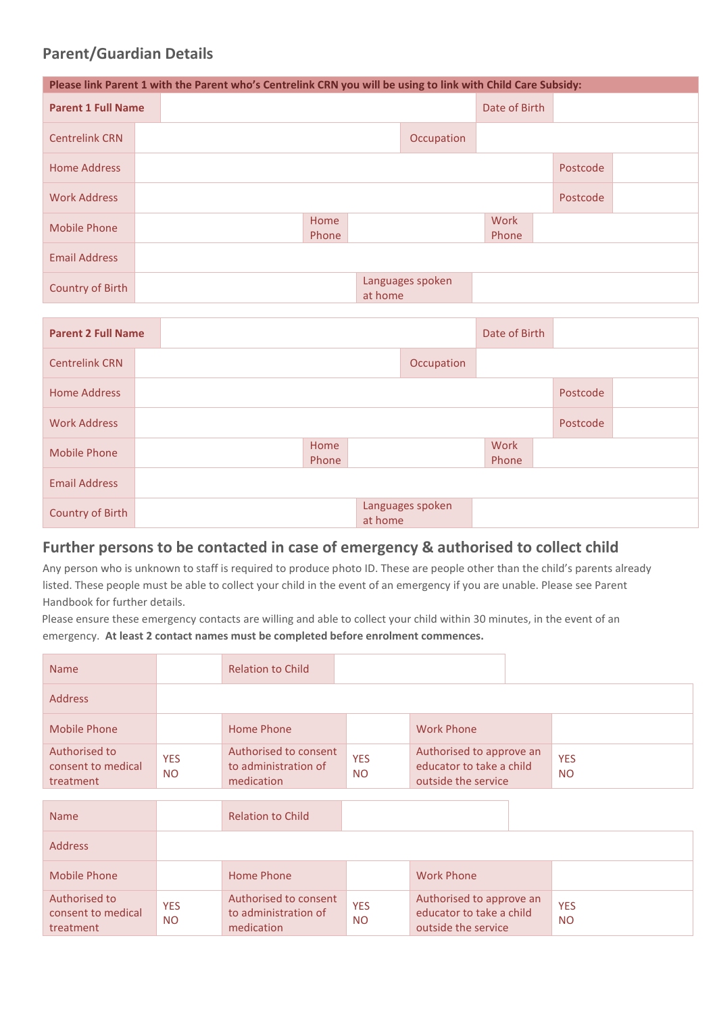### **Parent/Guardian Details**

|                           | Please link Parent 1 with the Parent who's Centrelink CRN you will be using to link with Child Care Subsidy: |  |               |               |                  |  |          |  |  |  |
|---------------------------|--------------------------------------------------------------------------------------------------------------|--|---------------|---------------|------------------|--|----------|--|--|--|
| <b>Parent 1 Full Name</b> |                                                                                                              |  |               | Date of Birth |                  |  |          |  |  |  |
| <b>Centrelink CRN</b>     |                                                                                                              |  |               |               |                  |  |          |  |  |  |
| <b>Home Address</b>       |                                                                                                              |  |               |               |                  |  | Postcode |  |  |  |
| <b>Work Address</b>       |                                                                                                              |  |               | Postcode      |                  |  |          |  |  |  |
| <b>Mobile Phone</b>       |                                                                                                              |  | Work<br>Phone |               |                  |  |          |  |  |  |
| <b>Email Address</b>      |                                                                                                              |  |               |               |                  |  |          |  |  |  |
| Country of Birth          |                                                                                                              |  |               | at home       | Languages spoken |  |          |  |  |  |

| <b>Parent 2 Full Name</b> |  |               |         |                  | Date of Birth |          |  |
|---------------------------|--|---------------|---------|------------------|---------------|----------|--|
| <b>Centrelink CRN</b>     |  |               |         | Occupation       |               |          |  |
| <b>Home Address</b>       |  |               |         |                  |               | Postcode |  |
| <b>Work Address</b>       |  |               |         |                  |               | Postcode |  |
| <b>Mobile Phone</b>       |  | Home<br>Phone |         |                  | Work<br>Phone |          |  |
| <b>Email Address</b>      |  |               |         |                  |               |          |  |
| Country of Birth          |  |               | at home | Languages spoken |               |          |  |

### **Further persons to be contacted in case of emergency & authorised to collect child**

Any person who is unknown to staff is required to produce photo ID. These are people other than the child's parents already listed. These people must be able to collect your child in the event of an emergency if you are unable. Please see Parent Handbook for further details.

Please ensure these emergency contacts are willing and able to collect your child within 30 minutes, in the event of an emergency. **At least 2 contact names must be completed before enrolment commences.**

| <b>Name</b>                                      |                         | <b>Relation to Child</b>                                    |                         |                                                                             |                         |
|--------------------------------------------------|-------------------------|-------------------------------------------------------------|-------------------------|-----------------------------------------------------------------------------|-------------------------|
| <b>Address</b>                                   |                         |                                                             |                         |                                                                             |                         |
| <b>Mobile Phone</b>                              |                         | Home Phone                                                  |                         | <b>Work Phone</b>                                                           |                         |
| Authorised to<br>consent to medical<br>treatment | <b>YES</b><br><b>NO</b> | Authorised to consent<br>to administration of<br>medication | <b>YES</b><br><b>NO</b> | Authorised to approve an<br>educator to take a child<br>outside the service | <b>YES</b><br><b>NO</b> |
|                                                  |                         |                                                             |                         |                                                                             |                         |
| <b>Name</b>                                      |                         | <b>Relation to Child</b>                                    |                         |                                                                             |                         |
| <b>Address</b>                                   |                         |                                                             |                         |                                                                             |                         |
| <b>Mobile Phone</b>                              |                         | <b>Home Phone</b>                                           |                         | <b>Work Phone</b>                                                           |                         |
| Authorised to<br>consent to medical<br>treatment | <b>YES</b><br><b>NO</b> | Authorised to consent<br>to administration of<br>medication | <b>YES</b><br><b>NO</b> | Authorised to approve an<br>educator to take a child<br>outside the service | <b>YES</b><br><b>NO</b> |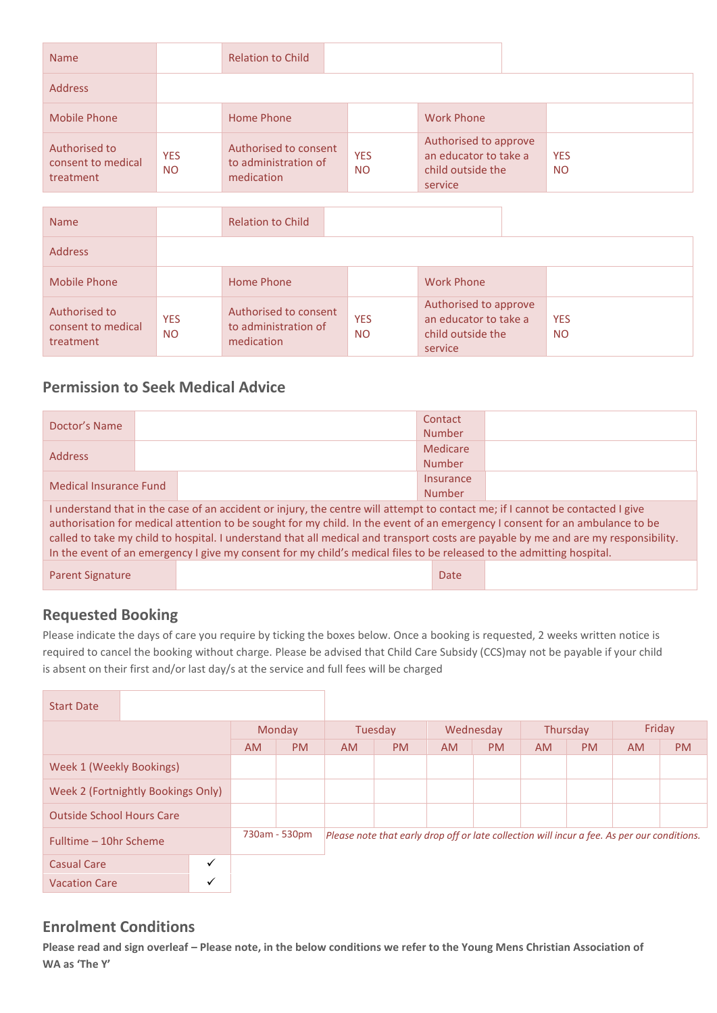| <b>Name</b>                                      |                         | <b>Relation to Child</b>                                    |                         |                                                                                |                         |
|--------------------------------------------------|-------------------------|-------------------------------------------------------------|-------------------------|--------------------------------------------------------------------------------|-------------------------|
| <b>Address</b>                                   |                         |                                                             |                         |                                                                                |                         |
| <b>Mobile Phone</b>                              |                         | Home Phone                                                  |                         | <b>Work Phone</b>                                                              |                         |
| Authorised to<br>consent to medical<br>treatment | <b>YES</b><br><b>NO</b> | Authorised to consent<br>to administration of<br>medication | <b>YES</b><br><b>NO</b> | Authorised to approve<br>an educator to take a<br>child outside the<br>service | <b>YES</b><br><b>NO</b> |
|                                                  |                         |                                                             |                         |                                                                                |                         |
| <b>Name</b>                                      |                         | <b>Relation to Child</b>                                    |                         |                                                                                |                         |
| <b>Address</b>                                   |                         |                                                             |                         |                                                                                |                         |
| <b>Mobile Phone</b>                              |                         | Home Phone                                                  |                         | <b>Work Phone</b>                                                              |                         |
| Authorised to<br>consent to medical<br>treatment | <b>YES</b><br><b>NO</b> | Authorised to consent<br>to administration of<br>medication | <b>YES</b><br><b>NO</b> | Authorised to approve<br>an educator to take a<br>child outside the<br>service | <b>YES</b><br><b>NO</b> |

#### **Permission to Seek Medical Advice**

| Doctor's Name                                                                                                                                                                                                                                                                                                                                                                                                                                                                                                                  |  |  | Contact       |  |  |  |  |  |
|--------------------------------------------------------------------------------------------------------------------------------------------------------------------------------------------------------------------------------------------------------------------------------------------------------------------------------------------------------------------------------------------------------------------------------------------------------------------------------------------------------------------------------|--|--|---------------|--|--|--|--|--|
|                                                                                                                                                                                                                                                                                                                                                                                                                                                                                                                                |  |  | <b>Number</b> |  |  |  |  |  |
| <b>Address</b>                                                                                                                                                                                                                                                                                                                                                                                                                                                                                                                 |  |  | Medicare      |  |  |  |  |  |
|                                                                                                                                                                                                                                                                                                                                                                                                                                                                                                                                |  |  | <b>Number</b> |  |  |  |  |  |
| Medical Insurance Fund                                                                                                                                                                                                                                                                                                                                                                                                                                                                                                         |  |  | Insurance     |  |  |  |  |  |
|                                                                                                                                                                                                                                                                                                                                                                                                                                                                                                                                |  |  | <b>Number</b> |  |  |  |  |  |
| I understand that in the case of an accident or injury, the centre will attempt to contact me; if I cannot be contacted I give<br>authorisation for medical attention to be sought for my child. In the event of an emergency I consent for an ambulance to be<br>called to take my child to hospital. I understand that all medical and transport costs are payable by me and are my responsibility.<br>In the event of an emergency I give my consent for my child's medical files to be released to the admitting hospital. |  |  |               |  |  |  |  |  |
| Parent Signature                                                                                                                                                                                                                                                                                                                                                                                                                                                                                                               |  |  | <b>Date</b>   |  |  |  |  |  |

## **Requested Booking**

Please indicate the days of care you require by ticking the boxes below. Once a booking is requested, 2 weeks written notice is required to cancel the booking without charge. Please be advised that Child Care Subsidy (CCS)may not be payable if your child is absent on their first and/or last day/s at the service and full fees will be charged

| <b>Start Date</b>                |                                    |        |               |                                                                                             |    |           |    |          |           |        |           |  |
|----------------------------------|------------------------------------|--------|---------------|---------------------------------------------------------------------------------------------|----|-----------|----|----------|-----------|--------|-----------|--|
|                                  |                                    | Monday |               | Tuesday                                                                                     |    | Wednesday |    | Thursday |           | Friday |           |  |
|                                  |                                    | AM.    | PM            | AM.                                                                                         | PM | <b>AM</b> | PM | AM.      | <b>PM</b> | AM.    | <b>PM</b> |  |
| Week 1 (Weekly Bookings)         |                                    |        |               |                                                                                             |    |           |    |          |           |        |           |  |
|                                  | Week 2 (Fortnightly Bookings Only) |        |               |                                                                                             |    |           |    |          |           |        |           |  |
| <b>Outside School Hours Care</b> |                                    |        |               |                                                                                             |    |           |    |          |           |        |           |  |
| Fulltime - 10hr Scheme           |                                    |        | 730am - 530pm | Please note that early drop off or late collection will incur a fee. As per our conditions. |    |           |    |          |           |        |           |  |
| <b>Casual Care</b>               | $\checkmark$                       |        |               |                                                                                             |    |           |    |          |           |        |           |  |
| <b>Vacation Care</b>             |                                    |        |               |                                                                                             |    |           |    |          |           |        |           |  |

#### **Enrolment Conditions**

**Please read and sign overleaf – Please note, in the below conditions we refer to the Young Mens Christian Association of WA as 'The Y'**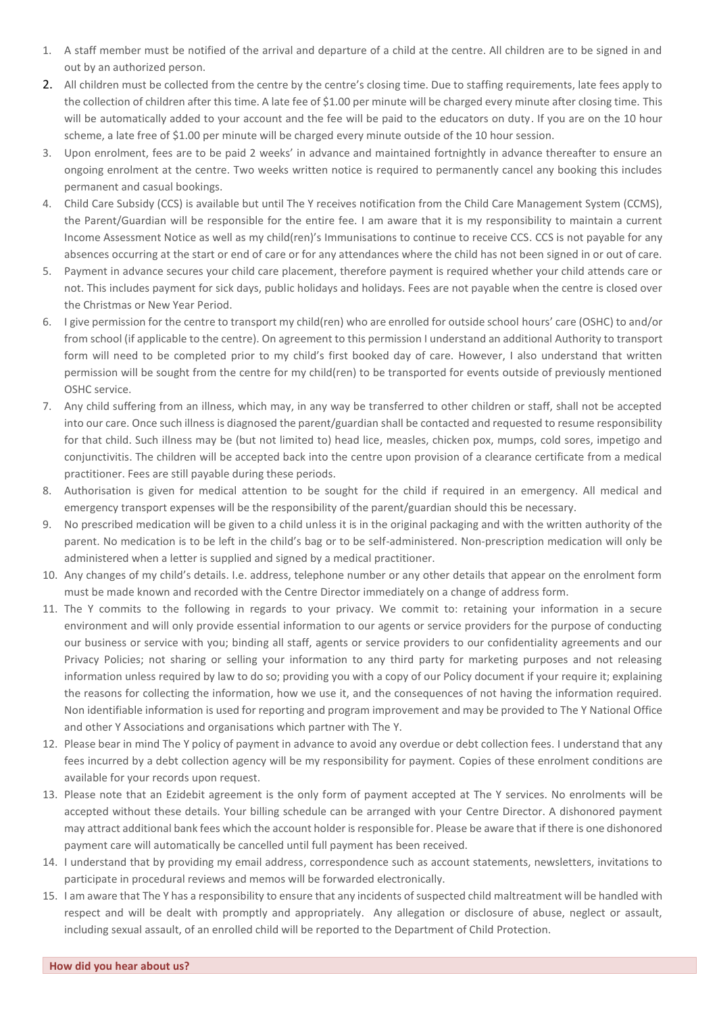- 1. A staff member must be notified of the arrival and departure of a child at the centre. All children are to be signed in and out by an authorized person.
- 2. All children must be collected from the centre by the centre's closing time. Due to staffing requirements, late fees apply to the collection of children after this time. A late fee of \$1.00 per minute will be charged every minute after closing time. This will be automatically added to your account and the fee will be paid to the educators on duty. If you are on the 10 hour scheme, a late free of \$1.00 per minute will be charged every minute outside of the 10 hour session.
- 3. Upon enrolment, fees are to be paid 2 weeks' in advance and maintained fortnightly in advance thereafter to ensure an ongoing enrolment at the centre. Two weeks written notice is required to permanently cancel any booking this includes permanent and casual bookings.
- 4. Child Care Subsidy (CCS) is available but until The Y receives notification from the Child Care Management System (CCMS), the Parent/Guardian will be responsible for the entire fee. I am aware that it is my responsibility to maintain a current Income Assessment Notice as well as my child(ren)'s Immunisations to continue to receive CCS. CCS is not payable for any absences occurring at the start or end of care or for any attendances where the child has not been signed in or out of care.
- 5. Payment in advance secures your child care placement, therefore payment is required whether your child attends care or not. This includes payment for sick days, public holidays and holidays. Fees are not payable when the centre is closed over the Christmas or New Year Period.
- 6. I give permission for the centre to transport my child(ren) who are enrolled for outside school hours' care (OSHC) to and/or from school (if applicable to the centre). On agreement to this permission I understand an additional Authority to transport form will need to be completed prior to my child's first booked day of care. However, I also understand that written permission will be sought from the centre for my child(ren) to be transported for events outside of previously mentioned OSHC service.
- 7. Any child suffering from an illness, which may, in any way be transferred to other children or staff, shall not be accepted into our care. Once such illness is diagnosed the parent/guardian shall be contacted and requested to resume responsibility for that child. Such illness may be (but not limited to) head lice, measles, chicken pox, mumps, cold sores, impetigo and conjunctivitis. The children will be accepted back into the centre upon provision of a clearance certificate from a medical practitioner. Fees are still payable during these periods.
- 8. Authorisation is given for medical attention to be sought for the child if required in an emergency. All medical and emergency transport expenses will be the responsibility of the parent/guardian should this be necessary.
- 9. No prescribed medication will be given to a child unless it is in the original packaging and with the written authority of the parent. No medication is to be left in the child's bag or to be self-administered. Non-prescription medication will only be administered when a letter is supplied and signed by a medical practitioner.
- 10. Any changes of my child's details. I.e. address, telephone number or any other details that appear on the enrolment form must be made known and recorded with the Centre Director immediately on a change of address form.
- 11. The Y commits to the following in regards to your privacy. We commit to: retaining your information in a secure environment and will only provide essential information to our agents or service providers for the purpose of conducting our business or service with you; binding all staff, agents or service providers to our confidentiality agreements and our Privacy Policies; not sharing or selling your information to any third party for marketing purposes and not releasing information unless required by law to do so; providing you with a copy of our Policy document if your require it; explaining the reasons for collecting the information, how we use it, and the consequences of not having the information required. Non identifiable information is used for reporting and program improvement and may be provided to The Y National Office and other Y Associations and organisations which partner with The Y.
- 12. Please bear in mind The Y policy of payment in advance to avoid any overdue or debt collection fees. I understand that any fees incurred by a debt collection agency will be my responsibility for payment. Copies of these enrolment conditions are available for your records upon request.
- 13. Please note that an Ezidebit agreement is the only form of payment accepted at The Y services. No enrolments will be accepted without these details. Your billing schedule can be arranged with your Centre Director. A dishonored payment may attract additional bank fees which the account holder is responsible for. Please be aware that if there is one dishonored payment care will automatically be cancelled until full payment has been received.
- 14. I understand that by providing my email address, correspondence such as account statements, newsletters, invitations to participate in procedural reviews and memos will be forwarded electronically.
- 15. I am aware that The Y has a responsibility to ensure that any incidents of suspected child maltreatment will be handled with respect and will be dealt with promptly and appropriately. Any allegation or disclosure of abuse, neglect or assault, including sexual assault, of an enrolled child will be reported to the Department of Child Protection.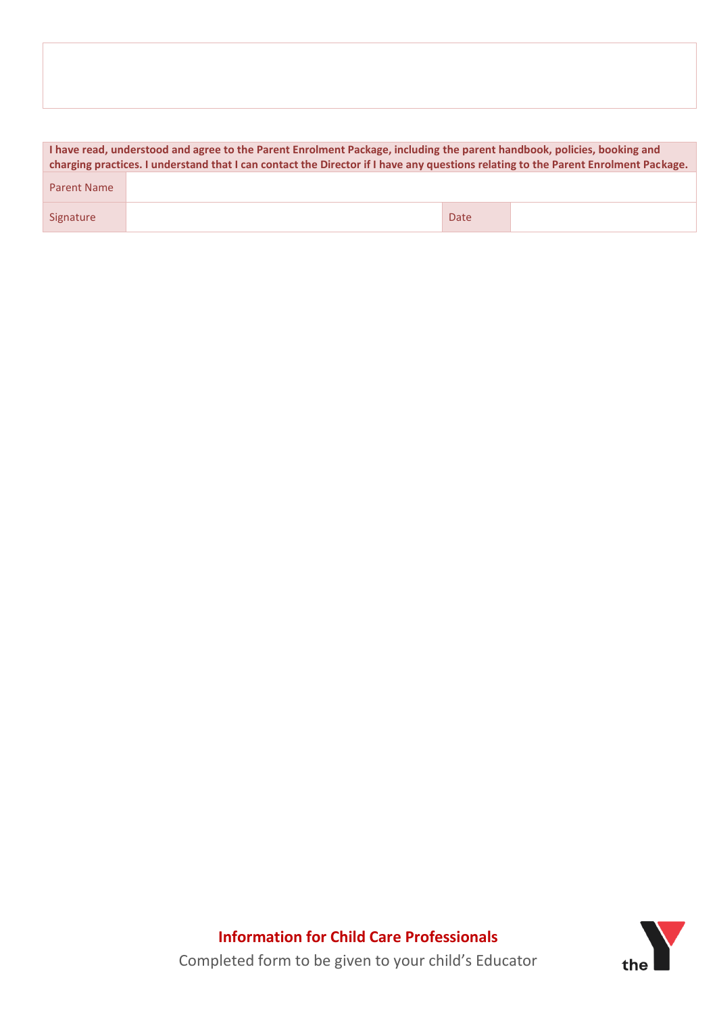|                    | I have read, understood and agree to the Parent Enrolment Package, including the parent handbook, policies, booking and<br>charging practices. I understand that I can contact the Director if I have any questions relating to the Parent Enrolment Package. |      |  |  |  |  |  |  |
|--------------------|---------------------------------------------------------------------------------------------------------------------------------------------------------------------------------------------------------------------------------------------------------------|------|--|--|--|--|--|--|
| <b>Parent Name</b> |                                                                                                                                                                                                                                                               |      |  |  |  |  |  |  |
| Signature          |                                                                                                                                                                                                                                                               | Date |  |  |  |  |  |  |

**Information for Child Care Professionals** Completed form to be given to your child's Educator